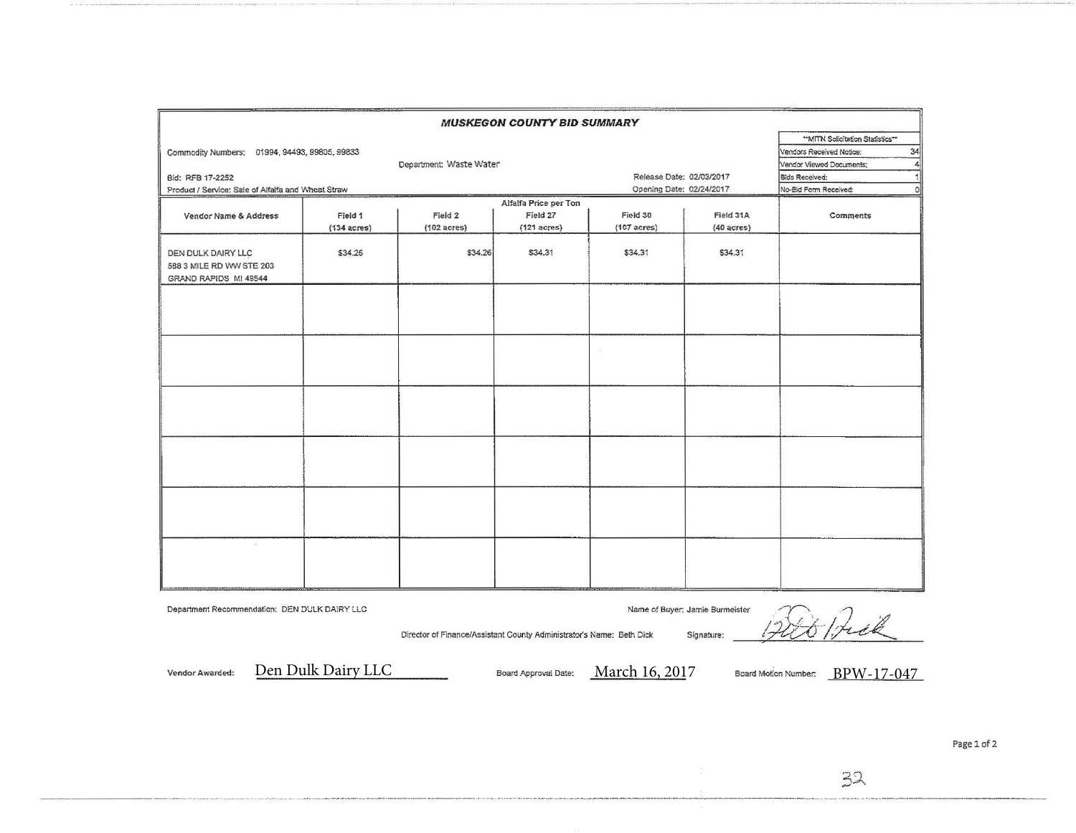|                                                                         |                       |                                                                      | <b>MUSKEGON COUNTY BID SUMMARY</b> |                       |                                                                                                      |           |
|-------------------------------------------------------------------------|-----------------------|----------------------------------------------------------------------|------------------------------------|-----------------------|------------------------------------------------------------------------------------------------------|-----------|
| Commodity Numbers: 01994, 94493, 99805, 99833                           |                       | Department: Waste Water                                              |                                    |                       | ** MITN Solicitation Statistics**<br>34<br>Vendors Received Notice:<br>Vendor Viewed Documents;<br>4 |           |
| Bid: RFB 17-2252                                                        |                       | Release Date: 02/03/2017                                             |                                    | Bids Received:        |                                                                                                      |           |
| Product / Service: Sale of Alfaifa and Wheat Straw                      |                       |                                                                      | Opening Date: 02/24/2017           |                       | No-Bid Form Received:<br>$\circ$                                                                     |           |
|                                                                         |                       |                                                                      | Alfalfa Price per Ton              |                       |                                                                                                      |           |
| Vendor Name & Address                                                   | Field 1               | Field 2                                                              | Field 27                           | Field 30              | Field 31A                                                                                            | Comments  |
|                                                                         | $(134 \text{ acres})$ | $(102 \text{ acres})$                                                | $(121 \text{ acres})$              | $(107 \text{ acres})$ | $(40 a$ cres $)$                                                                                     |           |
| DEN DULK DAIRY LLC<br>588 3 MILE RD WW STE 203<br>GRAND RAPIDS MI 49544 | \$34.26               | \$34.26                                                              | \$34.31                            | \$34.31               | \$34.31                                                                                              |           |
|                                                                         |                       |                                                                      |                                    |                       |                                                                                                      |           |
|                                                                         |                       |                                                                      |                                    |                       |                                                                                                      |           |
|                                                                         |                       |                                                                      |                                    |                       |                                                                                                      |           |
|                                                                         |                       |                                                                      |                                    |                       |                                                                                                      |           |
|                                                                         |                       |                                                                      |                                    |                       |                                                                                                      |           |
|                                                                         |                       |                                                                      |                                    |                       |                                                                                                      |           |
| Department Recommendation: DEN DULK DAIRY LLC                           |                       | Director of Finance/Assistant County Administrator's Name: Beth Dick |                                    |                       | Name of Buyer: Jamie Burmeister<br>Signature:                                                        | Filt Prek |

Vendor Awarded:

Den Dulk Dairy LLC

Board Approval Date: March 16, 2017

Board Motion Number: BPW-17-047

Page 1 of 2